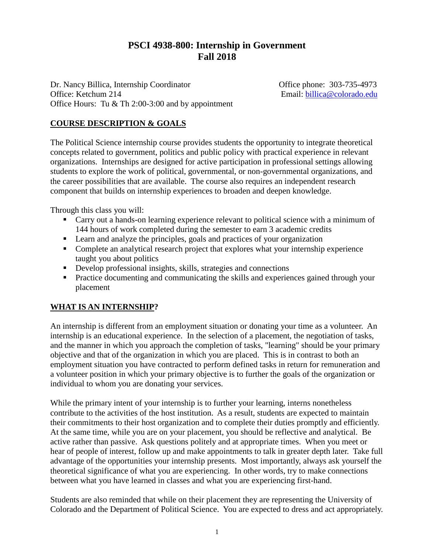# **PSCI 4938-800: Internship in Government Fall 2018**

Dr. Nancy Billica, Internship Coordinator Office phone: 303-735-4973 Office: Ketchum 214 Email: [billica@colorado.edu](mailto:billica@colorado.edu) Office Hours: Tu & Th 2:00-3:00 and by appointment

## **COURSE DESCRIPTION & GOALS**

The Political Science internship course provides students the opportunity to integrate theoretical concepts related to government, politics and public policy with practical experience in relevant organizations. Internships are designed for active participation in professional settings allowing students to explore the work of political, governmental, or non-governmental organizations, and the career possibilities that are available. The course also requires an independent research component that builds on internship experiences to broaden and deepen knowledge.

Through this class you will:

- Carry out a hands-on learning experience relevant to political science with a minimum of 144 hours of work completed during the semester to earn 3 academic credits
- Learn and analyze the principles, goals and practices of your organization
- Complete an analytical research project that explores what your internship experience taught you about politics
- Develop professional insights, skills, strategies and connections
- **Practice documenting and communicating the skills and experiences gained through your** placement

### **WHAT IS AN INTERNSHIP?**

An internship is different from an employment situation or donating your time as a volunteer. An internship is an educational experience. In the selection of a placement, the negotiation of tasks, and the manner in which you approach the completion of tasks, "learning" should be your primary objective and that of the organization in which you are placed. This is in contrast to both an employment situation you have contracted to perform defined tasks in return for remuneration and a volunteer position in which your primary objective is to further the goals of the organization or individual to whom you are donating your services.

While the primary intent of your internship is to further your learning, interns nonetheless contribute to the activities of the host institution. As a result, students are expected to maintain their commitments to their host organization and to complete their duties promptly and efficiently. At the same time, while you are on your placement, you should be reflective and analytical. Be active rather than passive. Ask questions politely and at appropriate times. When you meet or hear of people of interest, follow up and make appointments to talk in greater depth later. Take full advantage of the opportunities your internship presents. Most importantly, always ask yourself the theoretical significance of what you are experiencing. In other words, try to make connections between what you have learned in classes and what you are experiencing first-hand.

Students are also reminded that while on their placement they are representing the University of Colorado and the Department of Political Science. You are expected to dress and act appropriately.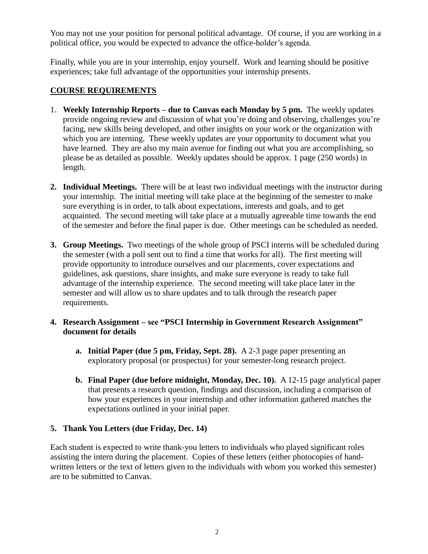You may not use your position for personal political advantage. Of course, if you are working in a political office, you would be expected to advance the office-holder's agenda.

Finally, while you are in your internship, enjoy yourself. Work and learning should be positive experiences; take full advantage of the opportunities your internship presents.

#### **COURSE REQUIREMENTS**

- 1. **Weekly Internship Reports – due to Canvas each Monday by 5 pm.** The weekly updates provide ongoing review and discussion of what you're doing and observing, challenges you're facing, new skills being developed, and other insights on your work or the organization with which you are interning. These weekly updates are your opportunity to document what you have learned. They are also my main avenue for finding out what you are accomplishing, so please be as detailed as possible. Weekly updates should be approx. 1 page (250 words) in length.
- **2. Individual Meetings.** There will be at least two individual meetings with the instructor during your internship. The initial meeting will take place at the beginning of the semester to make sure everything is in order, to talk about expectations, interests and goals, and to get acquainted. The second meeting will take place at a mutually agreeable time towards the end of the semester and before the final paper is due. Other meetings can be scheduled as needed.
- **3. Group Meetings.** Two meetings of the whole group of PSCI interns will be scheduled during the semester (with a poll sent out to find a time that works for all). The first meeting will provide opportunity to introduce ourselves and our placements, cover expectations and guidelines, ask questions, share insights, and make sure everyone is ready to take full advantage of the internship experience. The second meeting will take place later in the semester and will allow us to share updates and to talk through the research paper requirements.
- **4. Research Assignment – see "PSCI Internship in Government Research Assignment" document for details**
	- **a. Initial Paper (due 5 pm, Friday, Sept. 28).** A 2-3 page paper presenting an exploratory proposal (or prospectus) for your semester-long research project.
	- **b. Final Paper (due before midnight, Monday, Dec. 10).** A 12-15 page analytical paper that presents a research question, findings and discussion, including a comparison of how your experiences in your internship and other information gathered matches the expectations outlined in your initial paper.

#### **5. Thank You Letters (due Friday, Dec. 14)**

Each student is expected to write thank-you letters to individuals who played significant roles assisting the intern during the placement. Copies of these letters (either photocopies of handwritten letters or the text of letters given to the individuals with whom you worked this semester) are to be submitted to Canvas.